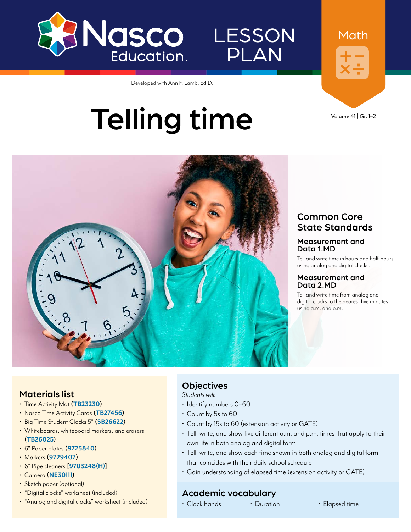



Developed with Ann F. Lamb, Ed.D.

# Telling time



Math



#### Common Core State Standards

#### Measurement and Data 1.MD

Tell and write time in hours and half-hours using analog and digital clocks.

#### Measurement and Data 2.MD

Tell and write time from analog and digital clocks to the nearest five minutes, using a.m. and p.m.

#### Materials list

- Time Activity Mat **[\(TB23230\)](https://www.enasco.com/p/TB23230)**
- Nasco Time Activity Cards **([TB27456\)](https://www.enasco.com/p/TB27456)**
- Big Time Student Clocks 5" **[\(SB26622\)](https://www.enasco.com/p/SB26622)**
- Whiteboards, whiteboard markers, and erasers **[\(TB26025\)](https://www.enasco.com/p/TB26025)**
- 6" Paper plates **([9725840\)](https://www.enasco.com/p/9725840)**
- Markers **[\(9729407\)](https://www.enasco.com/p/9729407)**
- 6" Pipe cleaners **[\[9703248\(H\)](https://www.enasco.com/p/9703248(H))]**
- Camera **[\(NE30111](https://www.enasco.com/p/NE30111))**
- Sketch paper (optional)
- "Digital clocks" worksheet (included)
- "Analog and digital clocks" worksheet (included)

#### **Objectives**

*Students will:*

- Identify numbers 0–60
- Count by 5s to 60
- Count by 15s to 60 (extension activity or GATE)
- Tell, write, and show five different a.m. and p.m. times that apply to their own life in both analog and digital form
- Tell, write, and show each time shown in both analog and digital form that coincides with their daily school schedule
- Gain understanding of elapsed time (extension activity or GATE)

#### Academic vocabulary

• Clock hands • Duration • Elapsed time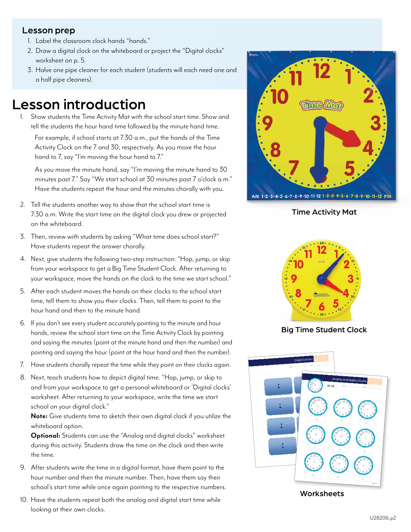#### Lesson prep

- 1. Label the classroom clock hands "hands."
- 2. Draw a digital clock on the whiteboard or project the "Digital clocks" worksheet on p. 5.
- 3. Halve one pipe cleaner for each student (students will each need one and a half pipe cleaners).

### Lesson introduction

1. Show students the Time Activity Mat with the school start time. Show and tell the students the hour hand time followed by the minute hand time. For example, if school starts at 7:30 a.m., put the hands of the Time Activity Clock on the 7 and 30, respectively. As you move the hour hand to 7, say "I'm moving the hour hand to 7."

As you move the minute hand, say "I'm moving the minute hand to 30 minutes past 7." Say "We start school at 30 minutes past 7 o'clock a.m." Have the students repeat the hour and the minutes chorally with you.

- 2. Tell the students another way to show that the school start time is 7:30 a.m. Write the start time on the digital clock you drew or projected on the whiteboard.
- 3. Then, review with students by asking "What time does school start?" Have students repeat the answer chorally.
- 4. Next, give students the following two-step instruction: "Hop, jump, or skip from your workspace to get a Big Time Student Clock. After returning to your workspace, move the hands on the clock to the time we start school."
- 5. After each student moves the hands on their clocks to the school start time, tell them to show you their clocks. Then, tell them to point to the hour hand and then to the minute hand.
- 6. If you don't see every student accurately pointing to the minute and hour hands, review the school start time on the Time Activity Clock by pointing and saying the minutes (point at the minute hand and then the number) and pointing and saying the hour (point at the hour hand and then the number).
- 7. Have students chorally repeat the time while they point on their clocks again.
- 8. Next, teach students how to depict digital time. "Hop, jump, or skip to and from your workspace to get a personal whiteboard or 'Digital clocks' worksheet. After returning to your workspace, write the time we start school on your digital clock."

**Note:** Give students time to sketch their own digital clock if you utilize the whiteboard option.

**Optional:** Students can use the "Analog and digital clocks" worksheet during this activity. Students draw the time on the clock and then write the time.

- 9. After students write the time in a digital format, have them point to the hour number and then the minute number. Then, have them say their school's start time while once again pointing to the respective numbers.
- 10. Have the students repeat both the analog and digital start time while looking at their own clocks.



Time Activity Mat



Big Time Student Clock



**Worksheets**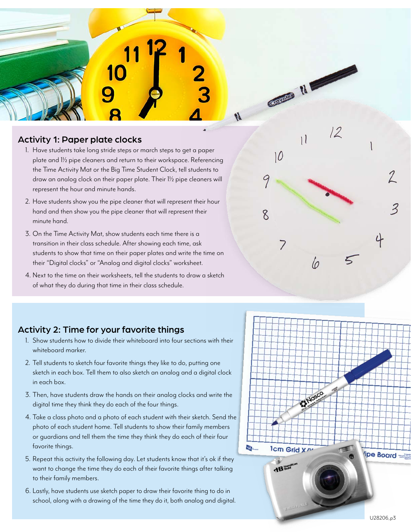

#### Activity 1: Paper plate clocks

- 1. Have students take long stride steps or march steps to get a paper plate and 1½ pipe cleaners and return to their workspace. Referencing the Time Activity Mat or the Big Time Student Clock, tell students to draw an analog clock on their paper plate. Their 1½ pipe cleaners will represent the hour and minute hands.
- 2. Have students show you the pipe cleaner that will represent their hour hand and then show you the pipe cleaner that will represent their minute hand.
- 3. On the Time Activity Mat, show students each time there is a transition in their class schedule. After showing each time, ask students to show that time on their paper plates and write the time on their "Digital clocks" or "Analog and digital clocks" worksheet.
- 4. Next to the time on their worksheets, tell the students to draw a sketch of what they do during that time in their class schedule.

#### Activity 2: Time for your favorite things

- 1. Show students how to divide their whiteboard into four sections with their whiteboard marker.
- 2. Tell students to sketch four favorite things they like to do, putting one sketch in each box. Tell them to also sketch an analog and a digital clock in each box.
- 3. Then, have students draw the hands on their analog clocks and write the digital time they think they do each of the four things.
- 4. Take a class photo and a photo of each student with their sketch. Send the photo of each student home. Tell students to show their family members or guardians and tell them the time they think they do each of their four favorite things.
- 5. Repeat this activity the following day. Let students know that it's ok if they want to change the time they do each of their favorite things after talking to their family members.
- 6. Lastly, have students use sketch paper to draw their favorite thing to do in school, along with a drawing of the time they do it, both analog and digital.



Grayalta N

11

 $10$ 

7

9

8

 $\overline{2}$ 

ζ

lo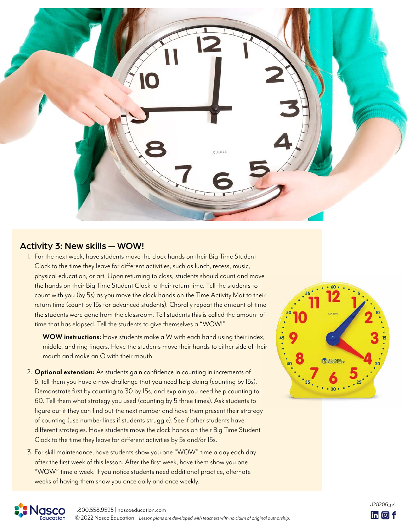

#### Activity 3: New skills — WOW!

1. For the next week, have students move the clock hands on their Big Time Student Clock to the time they leave for different activities, such as lunch, recess, music, physical education, or art. Upon returning to class, students should count and move the hands on their Big Time Student Clock to their return time. Tell the students to count with you (by 5s) as you move the clock hands on the Time Activity Mat to their return time (count by 15s for advanced students). Chorally repeat the amount of time the students were gone from the classroom. Tell students this is called the amount of time that has elapsed. Tell the students to give themselves a "WOW!"

**WOW instructions:** Have students make a W with each hand using their index, middle, and ring fingers. Have the students move their hands to either side of their mouth and make an O with their mouth.

- 2. **Optional extension:** As students gain confidence in counting in increments of 5, tell them you have a new challenge that you need help doing (counting by 15s). Demonstrate first by counting to 30 by 15s, and explain you need help counting to 60. Tell them what strategy you used (counting by 5 three times). Ask students to figure out if they can find out the next number and have them present their strategy of counting (use number lines if students struggle). See if other students have different strategies. Have students move the clock hands on their Big Time Student Clock to the time they leave for different activities by 5s and/or 15s.
- 3. For skill maintenance, have students show you one "WOW" time a day each day after the first week of this lesson. After the first week, have them show you one "WOW" time a week. If you notice students need additional practice, alternate weeks of having them show you once daily and once weekly.





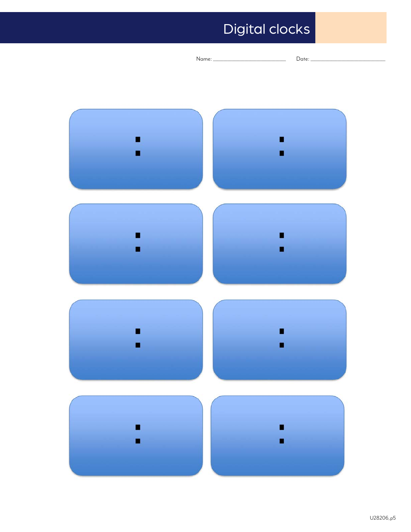## Digital clocks

|                                                       | Name: | Date: |
|-------------------------------------------------------|-------|-------|
|                                                       |       |       |
|                                                       |       |       |
|                                                       |       |       |
|                                                       |       |       |
| <u>t ann an comhannan ann an comhan an comhan an </u> |       |       |